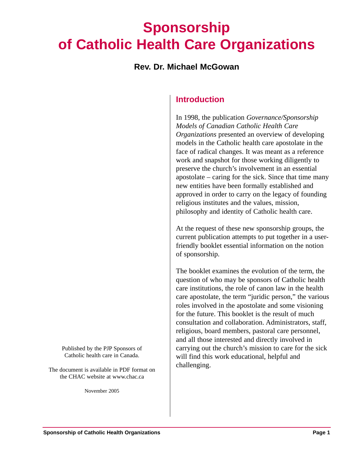# **Sponsorship of Catholic Health Care Organizations**

### **Rev. Dr. Michael McGowan**

# **Introduction**

In 1998, the publication *Governance/Sponsorship Models of Canadian Catholic Health Care Organizations* presented an overview of developing models in the Catholic health care apostolate in the face of radical changes. It was meant as a reference work and snapshot for those working diligently to preserve the church's involvement in an essential apostolate – caring for the sick. Since that time many new entities have been formally established and approved in order to carry on the legacy of founding religious institutes and the values, mission, philosophy and identity of Catholic health care.

At the request of these new sponsorship groups, the current publication attempts to put together in a userfriendly booklet essential information on the notion of sponsorship.

The booklet examines the evolution of the term, the question of who may be sponsors of Catholic health care institutions, the role of canon law in the health care apostolate, the term "juridic person," the various roles involved in the apostolate and some visioning for the future. This booklet is the result of much consultation and collaboration. Administrators, staff, religious, board members, pastoral care personnel, and all those interested and directly involved in carrying out the church's mission to care for the sick will find this work educational, helpful and challenging.

Published by the PJP Sponsors of Catholic health care in Canada.

The document is available in PDF format on the CHAC website at www.chac.ca

November 2005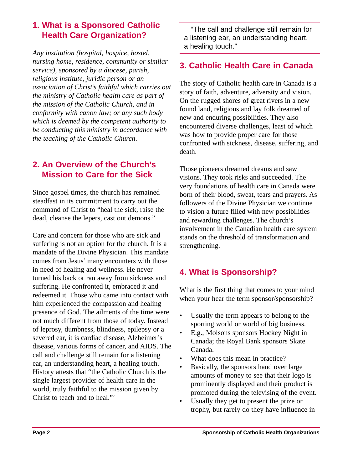# **1. What is a Sponsored Catholic Health Care Organization?**

*Any institution (hospital, hospice, hostel, nursing home, residence, community or similar service), sponsored by a diocese, parish, religious institute, juridic person or an association of Christ's faithful which carries out the ministry of Catholic health care as part of the mission of the Catholic Church, and in conformity with canon law; or any such body which is deemed by the competent authority to be conducting this ministry in accordance with the teaching of the Catholic Church*. 1

# **2. An Overview of the Church's Mission to Care for the Sick**

Since gospel times, the church has remained steadfast in its commitment to carry out the command of Christ to "heal the sick, raise the dead, cleanse the lepers, cast out demons."

Care and concern for those who are sick and suffering is not an option for the church. It is a mandate of the Divine Physician. This mandate comes from Jesus' many encounters with those in need of healing and wellness. He never turned his back or ran away from sickness and suffering. He confronted it, embraced it and redeemed it. Those who came into contact with him experienced the compassion and healing presence of God. The ailments of the time were not much different from those of today. Instead of leprosy, dumbness, blindness, epilepsy or a severed ear, it is cardiac disease, Alzheimer's disease, various forms of cancer, and AIDS. The call and challenge still remain for a listening ear, an understanding heart, a healing touch. History attests that "the Catholic Church is the single largest provider of health care in the world, truly faithful to the mission given by Christ to teach and to heal."2

"The call and challenge still remain for a listening ear, an understanding heart, a healing touch."

# **3. Catholic Health Care in Canada**

The story of Catholic health care in Canada is a story of faith, adventure, adversity and vision. On the rugged shores of great rivers in a new found land, religious and lay folk dreamed of new and enduring possibilities. They also encountered diverse challenges, least of which was how to provide proper care for those confronted with sickness, disease, suffering, and death.

Those pioneers dreamed dreams and saw visions. They took risks and succeeded. The very foundations of health care in Canada were born of their blood, sweat, tears and prayers. As followers of the Divine Physician we continue to vision a future filled with new possibilities and rewarding challenges. The church's involvement in the Canadian health care system stands on the threshold of transformation and strengthening.

# **4. What is Sponsorship?**

What is the first thing that comes to your mind when your hear the term sponsor/sponsorship?

- Usually the term appears to belong to the sporting world or world of big business.
- E.g., Molsons sponsors Hockey Night in Canada; the Royal Bank sponsors Skate Canada.
- What does this mean in practice?
- Basically, the sponsors hand over large amounts of money to see that their logo is prominently displayed and their product is promoted during the televising of the event.
- Usually they get to present the prize or trophy, but rarely do they have influence in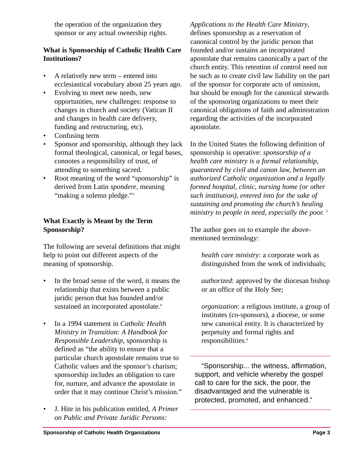the operation of the organization they sponsor or any actual ownership rights.

#### **What is Sponsorship of Catholic Health Care Institutions?**

- A relatively new term entered into ecclesiastical vocabulary about 25 years ago.
- Evolving to meet new needs, new opportunities, new challenges: response to changes in church and society (Vatican II and changes in health care delivery, funding and restructuring, etc).
- Confusing term
- Sponsor and sponsorship, although they lack formal theological, canonical, or legal bases, connotes a responsibility of trust, of attending to something sacred.
- Root meaning of the word "sponsorship" is derived from Latin *spondere*, meaning "making a solemn pledge."<sup>3</sup>

#### **What Exactly is Meant by the Term Sponsorship?**

The following are several definitions that might help to point out different aspects of the meaning of sponsorship.

- In the broad sense of the word, it means the relationship that exists between a public juridic person that has founded and/or sustained an incorporated apostolate.<sup>4</sup>
- In a 1994 statement in *Catholic Health Ministry in Transition: A Handbook for Responsible Leadership*, sponsorship is defined as "the ability to ensure that a particular church apostolate remains true to Catholic values and the sponsor's charism; sponsorship includes an obligation to care for, nurture, and advance the apostolate in order that it may continue Christ's mission."
- J. Hite in his publication entitled, *A Primer on Public and Private Juridic Persons:*

*Applications to the Health Care Ministry*, defines sponsorship as a reservation of canonical control by the juridic person that founded and/or sustains an incorporated apostolate that remains canonically a part of the church entity. This retention of control need not be such as to create civil law liability on the part of the sponsor for corporate acts of omission, but should be enough for the canonical stewards of the sponsoring organizations to meet their canonical obligations of faith and administration regarding the activities of the incorporated apostolate.

In the United States the following definition of sponsorship is operative: *sponsorship of a health care ministry is a formal relationship, guaranteed by civil and canon law, between an authorized Catholic organization and a legally formed hospital, clinic, nursing home (or other such institution), entered into for the sake of sustaining and promoting the church's healing ministry to people in need, especially the poor.* <sup>5</sup>

The author goes on to example the abovementioned terminology:

*health care ministry*: a corporate work as distinguished from the work of individuals;

*authorized*: approved by the diocesan bishop or an office of the Holy See;

*organization*: a religious institute, a group of institutes (co-sponsors), a diocese, or some new canonical entity. It is characterized by perpetuity and formal rights and responsibilities.<sup>6</sup>

"Sponsorship... the witness, affirmation, support, and vehicle whereby the gospel call to care for the sick, the poor, the disadvantaged and the vulnerable is protected, promoted, and enhanced."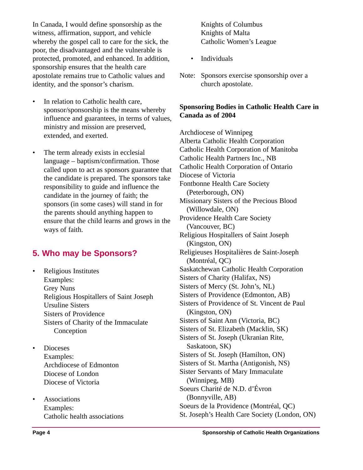In Canada, I would define sponsorship as the witness, affirmation, support, and vehicle whereby the gospel call to care for the sick, the poor, the disadvantaged and the vulnerable is protected, promoted, and enhanced. In addition, sponsorship ensures that the health care apostolate remains true to Catholic values and identity, and the sponsor's charism.

- In relation to Catholic health care, sponsor/sponsorship is the means whereby influence and guarantees, in terms of values, ministry and mission are preserved, extended, and exerted.
- The term already exists in ecclesial language – baptism/confirmation. Those called upon to act as sponsors guarantee that the candidate is prepared. The sponsors take responsibility to guide and influence the candidate in the journey of faith; the sponsors (in some cases) will stand in for the parents should anything happen to ensure that the child learns and grows in the ways of faith.

# **5. Who may be Sponsors?**

- Religious Institutes Examples: Grey Nuns Religious Hospitallers of Saint Joseph Ursuline Sisters Sisters of Providence Sisters of Charity of the Immaculate Conception
- Dioceses Examples: Archdiocese of Edmonton Diocese of London Diocese of Victoria
- Associations Examples: Catholic health associations

Knights of Columbus Knights of Malta Catholic Women's League

- Individuals
- Note: Sponsors exercise sponsorship over a church apostolate.

#### **Sponsoring Bodies in Catholic Health Care in Canada as of 2004**

Archdiocese of Winnipeg Alberta Catholic Health Corporation Catholic Health Corporation of Manitoba Catholic Health Partners Inc., NB Catholic Health Corporation of Ontario Diocese of Victoria Fontbonne Health Care Society (Peterborough, ON) Missionary Sisters of the Precious Blood (Willowdale, ON) Providence Health Care Society (Vancouver, BC) Religious Hospitallers of Saint Joseph (Kingston, ON) Religieuses Hospitalières de Saint-Joseph (Montréal, QC) Saskatchewan Catholic Health Corporation Sisters of Charity (Halifax, NS) Sisters of Mercy (St. John's, NL) Sisters of Providence (Edmonton, AB) Sisters of Providence of St. Vincent de Paul (Kingston, ON) Sisters of Saint Ann (Victoria, BC) Sisters of St. Elizabeth (Macklin, SK) Sisters of St. Joseph (Ukranian Rite, Saskatoon, SK) Sisters of St. Joseph (Hamilton, ON) Sisters of St. Martha (Antigonish, NS) Sister Servants of Mary Immaculate (Winnipeg, MB) Soeurs Charité de N.D. d'Évron (Bonnyville, AB) Soeurs de la Providence (Montréal, QC) St. Joseph's Health Care Society (London, ON)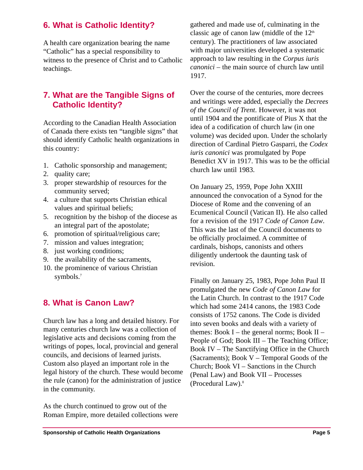# **6. What is Catholic Identity?**

A health care organization bearing the name "Catholic" has a special responsibility to witness to the presence of Christ and to Catholic teachings.

# **7. What are the Tangible Signs of Catholic Identity?**

According to the Canadian Health Association of Canada there exists ten "tangible signs" that should identify Catholic health organizations in this country:

- 1. Catholic sponsorship and management;
- 2. quality care;
- 3. proper stewardship of resources for the community served;
- 4. a culture that supports Christian ethical values and spiritual beliefs;
- 5. recognition by the bishop of the diocese as an integral part of the apostolate;
- 6. promotion of spiritual/religious care;
- 7. mission and values integration;
- 8. just working conditions;
- 9. the availability of the sacraments,
- 10. the prominence of various Christian symbols.7

# **8. What is Canon Law?**

Church law has a long and detailed history. For many centuries church law was a collection of legislative acts and decisions coming from the writings of popes, local, provincial and general councils, and decisions of learned jurists. Custom also played an important role in the legal history of the church. These would become the rule (canon) for the administration of justice in the community.

As the church continued to grow out of the Roman Empire, more detailed collections were gathered and made use of, culminating in the classic age of canon law (middle of the  $12<sup>th</sup>$ century). The practitioners of law associated with major universities developed a systematic approach to law resulting in the *Corpus iuris canonici* – the main source of church law until 1917.

Over the course of the centuries, more decrees and writings were added, especially the *Decrees of the Council of Trent*. However, it was not until 1904 and the pontificate of Pius X that the idea of a codification of church law (in one volume) was decided upon. Under the scholarly direction of Cardinal Pietro Gasparri, the *Codex iuris canonici* was promulgated by Pope Benedict XV in 1917. This was to be the official church law until 1983.

On January 25, 1959, Pope John XXIII announced the convocation of a Synod for the Diocese of Rome and the convening of an Ecumenical Council (Vatican II). He also called for a revision of the 1917 *Code of Canon Law*. This was the last of the Council documents to be officially proclaimed. A committee of cardinals, bishops, canonists and others diligently undertook the daunting task of revision.

Finally on January 25, 1983, Pope John Paul II promulgated the new *Code of Canon Law* for the Latin Church. In contrast to the 1917 Code which had some 2414 canons, the 1983 Code consists of 1752 canons. The Code is divided into seven books and deals with a variety of themes: Book I – the general norms; Book II – People of God; Book III – The Teaching Office; Book IV – The Sanctifying Office in the Church (Sacraments); Book V – Temporal Goods of the Church; Book VI – Sanctions in the Church (Penal Law) and Book VII – Processes (Procedural Law).8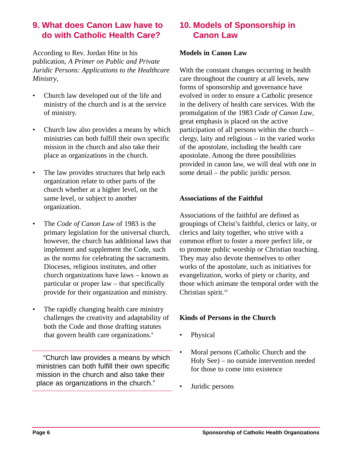# **9. What does Canon Law have to do with Catholic Health Care?**

According to Rev. Jordan Hite in his publication, *A Primer on Public and Private Juridic Persons: Applications to the Healthcare Ministry*,

- Church law developed out of the life and ministry of the church and is at the service of ministry.
- Church law also provides a means by which ministries can both fulfill their own specific mission in the church and also take their place as organizations in the church.
- The law provides structures that help each organization relate to other parts of the church whether at a higher level, on the same level, or subject to another organization.
- The *Code of Canon Law* of 1983 is the primary legislation for the universal church, however, the church has additional laws that implement and supplement the Code, such as the norms for celebrating the sacraments. Dioceses, religious institutes, and other church organizations have laws – known as particular or proper law – that specifically provide for their organization and ministry.
- The rapidly changing health care ministry challenges the creativity and adaptability of both the Code and those drafting statutes that govern health care organizations.<sup>9</sup>

"Church law provides a means by which ministries can both fulfill their own specific mission in the church and also take their place as organizations in the church."

# **10. Models of Sponsorship in Canon Law**

#### **Models in Canon Law**

With the constant changes occurring in health care throughout the country at all levels, new forms of sponsorship and governance have evolved in order to ensure a Catholic presence in the delivery of health care services. With the promulgation of the 1983 *Code of Canon Law*, great emphasis is placed on the active participation of all persons within the church – clergy, laity and religious – in the varied works of the apostolate, including the health care apostolate. Among the three possibilities provided in canon law, we will deal with one in some detail – the public juridic person.

#### **Associations of the Faithful**

Associations of the faithful are defined as groupings of Christ's faithful, clerics or laity, or clerics and laity together, who strive with a common effort to foster a more perfect life, or to promote public worship or Christian teaching. They may also devote themselves to other works of the apostolate, such as initiatives for evangelization, works of piety or charity, and those which animate the temporal order with the Christian spirit.<sup>10</sup>

#### **Kinds of Persons in the Church**

- Physical
- Moral persons (Catholic Church and the Holy See) – no outside intervention needed for those to come into existence
- Juridic persons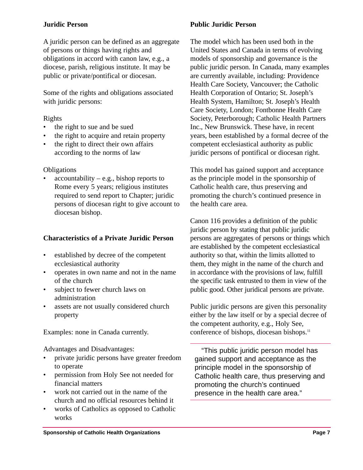#### **Juridic Person**

A juridic person can be defined as an aggregate of persons or things having rights and obligations in accord with canon law, e.g., a diocese, parish, religious institute. It may be public or private/pontifical or diocesan.

Some of the rights and obligations associated with juridic persons:

#### Rights

- the right to sue and be sued
- the right to acquire and retain property
- the right to direct their own affairs according to the norms of law

#### **Obligations**

 $accountability - e.g., bishop reports to$ Rome every 5 years; religious institutes required to send report to Chapter; juridic persons of diocesan right to give account to diocesan bishop.

#### **Characteristics of a Private Juridic Person**

- established by decree of the competent ecclesiastical authority
- operates in own name and not in the name of the church
- subject to fewer church laws on administration
- assets are not usually considered church property

Examples: none in Canada currently.

Advantages and Disadvantages:

- private juridic persons have greater freedom to operate
- permission from Holy See not needed for financial matters
- work not carried out in the name of the church and no official resources behind it
- works of Catholics as opposed to Catholic works

#### **Public Juridic Person**

The model which has been used both in the United States and Canada in terms of evolving models of sponsorship and governance is the public juridic person. In Canada, many examples are currently available, including: Providence Health Care Society, Vancouver; the Catholic Health Corporation of Ontario; St. Joseph's Health System, Hamilton; St. Joseph's Health Care Society, London; Fontbonne Health Care Society, Peterborough; Catholic Health Partners Inc., New Brunswick. These have, in recent years, been established by a formal decree of the competent ecclesiastical authority as public juridic persons of pontifical or diocesan right.

This model has gained support and acceptance as the principle model in the sponsorship of Catholic health care, thus preserving and promoting the church's continued presence in the health care area.

Canon 116 provides a definition of the public juridic person by stating that public juridic persons are aggregates of persons or things which are established by the competent ecclesiastical authority so that, within the limits allotted to them, they might in the name of the church and in accordance with the provisions of law, fulfill the specific task entrusted to them in view of the public good. Other juridical persons are private.

Public juridic persons are given this personality either by the law itself or by a special decree of the competent authority, e.g., Holy See, conference of bishops, diocesan bishops.<sup>11</sup>

"This public juridic person model has gained support and acceptance as the principle model in the sponsorship of Catholic health care, thus preserving and promoting the church's continued presence in the health care area."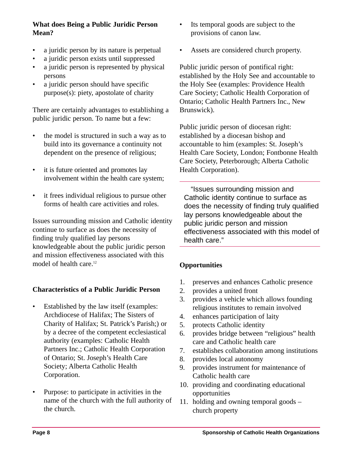#### **What does Being a Public Juridic Person Mean?**

- a juridic person by its nature is perpetual
- a juridic person exists until suppressed
- a juridic person is represented by physical persons
- a juridic person should have specific purpose(s): piety, apostolate of charity

There are certainly advantages to establishing a public juridic person. To name but a few:

- the model is structured in such a way as to build into its governance a continuity not dependent on the presence of religious;
- it is future oriented and promotes lay involvement within the health care system;
- it frees individual religious to pursue other forms of health care activities and roles.

Issues surrounding mission and Catholic identity continue to surface as does the necessity of finding truly qualified lay persons knowledgeable about the public juridic person and mission effectiveness associated with this model of health care.<sup>12</sup>

#### **Characteristics of a Public Juridic Person**

- Established by the law itself (examples: Archdiocese of Halifax; The Sisters of Charity of Halifax; St. Patrick's Parish;) or by a decree of the competent ecclesiastical authority (examples: Catholic Health Partners Inc.; Catholic Health Corporation of Ontario; St. Joseph's Health Care Society; Alberta Catholic Health Corporation.
- Purpose: to participate in activities in the name of the church with the full authority of the church.
- Its temporal goods are subject to the provisions of canon law.
- Assets are considered church property.

Public juridic person of pontifical right: established by the Holy See and accountable to the Holy See (examples: Providence Health Care Society; Catholic Health Corporation of Ontario; Catholic Health Partners Inc., New Brunswick).

Public juridic person of diocesan right: established by a diocesan bishop and accountable to him (examples: St. Joseph's Health Care Society, London; Fontbonne Health Care Society, Peterborough; Alberta Catholic Health Corporation).

"Issues surrounding mission and Catholic identity continue to surface as does the necessity of finding truly qualified lay persons knowledgeable about the public juridic person and mission effectiveness associated with this model of health care."

#### **Opportunities**

- 1. preserves and enhances Catholic presence
- 2. provides a united front
- 3. provides a vehicle which allows founding religious institutes to remain involved
- 4. enhances participation of laity
- 5. protects Catholic identity
- 6. provides bridge between "religious" health care and Catholic health care
- 7. establishes collaboration among institutions
- 8. provides local autonomy
- 9. provides instrument for maintenance of Catholic health care
- 10. providing and coordinating educational opportunities
- 11. holding and owning temporal goods church property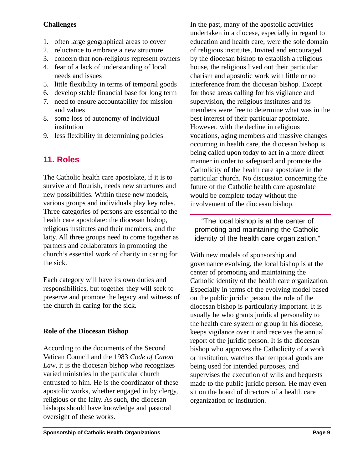#### **Challenges**

- 1. often large geographical areas to cover
- 2. reluctance to embrace a new structure
- 3. concern that non-religious represent owners
- 4. fear of a lack of understanding of local needs and issues
- 5. little flexibility in terms of temporal goods
- 6. develop stable financial base for long term
- 7. need to ensure accountability for mission and values
- 8. some loss of autonomy of individual institution
- 9. less flexibility in determining policies

# **11. Roles**

The Catholic health care apostolate, if it is to survive and flourish, needs new structures and new possibilities. Within these new models, various groups and individuals play key roles. Three categories of persons are essential to the health care apostolate: the diocesan bishop, religious institutes and their members, and the laity. All three groups need to come together as partners and collaborators in promoting the church's essential work of charity in caring for the sick.

Each category will have its own duties and responsibilities, but together they will seek to preserve and promote the legacy and witness of the church in caring for the sick.

#### **Role of the Diocesan Bishop**

According to the documents of the Second Vatican Council and the 1983 *Code of Canon Law*, it is the diocesan bishop who recognizes varied ministries in the particular church entrusted to him. He is the coordinator of these apostolic works, whether engaged in by clergy, religious or the laity. As such, the diocesan bishops should have knowledge and pastoral oversight of these works.

In the past, many of the apostolic activities undertaken in a diocese, especially in regard to education and health care, were the sole domain of religious institutes. Invited and encouraged by the diocesan bishop to establish a religious house, the religious lived out their particular charism and apostolic work with little or no interference from the diocesan bishop. Except for those areas calling for his vigilance and supervision, the religious institutes and its members were free to determine what was in the best interest of their particular apostolate. However, with the decline in religious vocations, aging members and massive changes occurring in health care, the diocesan bishop is being called upon today to act in a more direct manner in order to safeguard and promote the Catholicity of the health care apostolate in the particular church. No discussion concerning the future of the Catholic health care apostolate would be complete today without the involvement of the diocesan bishop.

"The local bishop is at the center of promoting and maintaining the Catholic identity of the health care organization."

With new models of sponsorship and governance evolving, the local bishop is at the center of promoting and maintaining the Catholic identity of the health care organization. Especially in terms of the evolving model based on the public juridic person, the role of the diocesan bishop is particularly important. It is usually he who grants juridical personality to the health care system or group in his diocese, keeps vigilance over it and receives the annual report of the juridic person. It is the diocesan bishop who approves the Catholicity of a work or institution, watches that temporal goods are being used for intended purposes, and supervises the execution of wills and bequests made to the public juridic person. He may even sit on the board of directors of a health care organization or institution.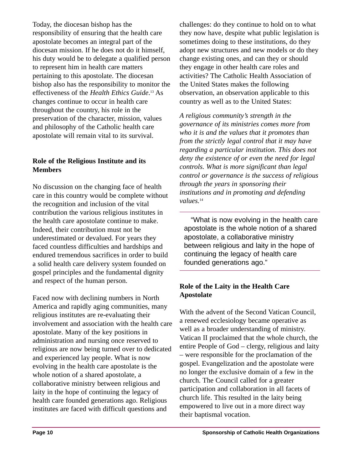Today, the diocesan bishop has the responsibility of ensuring that the health care apostolate becomes an integral part of the diocesan mission. If he does not do it himself, his duty would be to delegate a qualified person to represent him in health care matters pertaining to this apostolate. The diocesan bishop also has the responsibility to monitor the effectiveness of the *Health Ethics Guide*. <sup>13</sup> As changes continue to occur in health care throughout the country, his role in the preservation of the character, mission, values and philosophy of the Catholic health care apostolate will remain vital to its survival.

#### **Role of the Religious Institute and its Members**

No discussion on the changing face of health care in this country would be complete without the recognition and inclusion of the vital contribution the various religious institutes in the health care apostolate continue to make. Indeed, their contribution must not be underestimated or devalued. For years they faced countless difficulties and hardships and endured tremendous sacrifices in order to build a solid health care delivery system founded on gospel principles and the fundamental dignity and respect of the human person.

Faced now with declining numbers in North America and rapidly aging communities, many religious institutes are re-evaluating their involvement and association with the health care apostolate. Many of the key positions in administration and nursing once reserved to religious are now being turned over to dedicated and experienced lay people. What is now evolving in the health care apostolate is the whole notion of a shared apostolate, a collaborative ministry between religious and laity in the hope of continuing the legacy of health care founded generations ago. Religious institutes are faced with difficult questions and

challenges: do they continue to hold on to what they now have, despite what public legislation is sometimes doing to these institutions, do they adopt new structures and new models or do they change existing ones, and can they or should they engage in other health care roles and activities? The Catholic Health Association of the United States makes the following observation, an observation applicable to this country as well as to the United States:

*A religious community's strength in the governance of its ministries comes more from who it is and the values that it promotes than from the strictly legal control that it may have regarding a particular institution. This does not deny the existence of or even the need for legal controls. What is more significant than legal control or governance is the success of religious through the years in sponsoring their institutions and in promoting and defending* values.<sup>14</sup>

"What is now evolving in the health care apostolate is the whole notion of a shared apostolate, a collaborative ministry between religious and laity in the hope of continuing the legacy of health care founded generations ago."

#### **Role of the Laity in the Health Care Apostolate**

With the advent of the Second Vatican Council, a renewed ecclesiology became operative as well as a broader understanding of ministry. Vatican II proclaimed that the whole church, the entire People of God – clergy, religious and laity – were responsible for the proclamation of the gospel. Evangelization and the apostolate were no longer the exclusive domain of a few in the church. The Council called for a greater participation and collaboration in all facets of church life. This resulted in the laity being empowered to live out in a more direct way their baptismal vocation.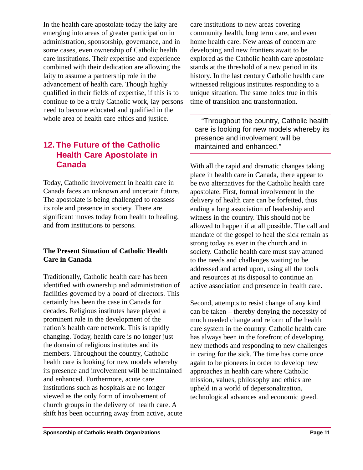In the health care apostolate today the laity are emerging into areas of greater participation in administration, sponsorship, governance, and in some cases, even ownership of Catholic health care institutions. Their expertise and experience combined with their dedication are allowing the laity to assume a partnership role in the advancement of health care. Though highly qualified in their fields of expertise, if this is to continue to be a truly Catholic work, lay persons need to become educated and qualified in the whole area of health care ethics and justice.

# **12. The Future of the Catholic Health Care Apostolate in Canada**

Today, Catholic involvement in health care in Canada faces an unknown and uncertain future. The apostolate is being challenged to reassess its role and presence in society. There are significant moves today from health to healing, and from institutions to persons.

#### **The Present Situation of Catholic Health Care in Canada**

Traditionally, Catholic health care has been identified with ownership and administration of facilities governed by a board of directors. This certainly has been the case in Canada for decades. Religious institutes have played a prominent role in the development of the nation's health care network. This is rapidly changing. Today, health care is no longer just the domain of religious institutes and its members. Throughout the country, Catholic health care is looking for new models whereby its presence and involvement will be maintained and enhanced. Furthermore, acute care institutions such as hospitals are no longer viewed as the only form of involvement of church groups in the delivery of health care. A shift has been occurring away from active, acute care institutions to new areas covering community health, long term care, and even home health care. New areas of concern are developing and new frontiers await to be explored as the Catholic health care apostolate stands at the threshold of a new period in its history. In the last century Catholic health care witnessed religious institutes responding to a unique situation. The same holds true in this time of transition and transformation.

"Throughout the country, Catholic health care is looking for new models whereby its presence and involvement will be maintained and enhanced."

With all the rapid and dramatic changes taking place in health care in Canada, there appear to be two alternatives for the Catholic health care apostolate. First, formal involvement in the delivery of health care can be forfeited, thus ending a long association of leadership and witness in the country. This should not be allowed to happen if at all possible. The call and mandate of the gospel to heal the sick remain as strong today as ever in the church and in society. Catholic health care must stay attuned to the needs and challenges waiting to be addressed and acted upon, using all the tools and resources at its disposal to continue an active association and presence in health care.

Second, attempts to resist change of any kind can be taken – thereby denying the necessity of much needed change and reform of the health care system in the country. Catholic health care has always been in the forefront of developing new methods and responding to new challenges in caring for the sick. The time has come once again to be pioneers in order to develop new approaches in health care where Catholic mission, values, philosophy and ethics are upheld in a world of depersonalization, technological advances and economic greed.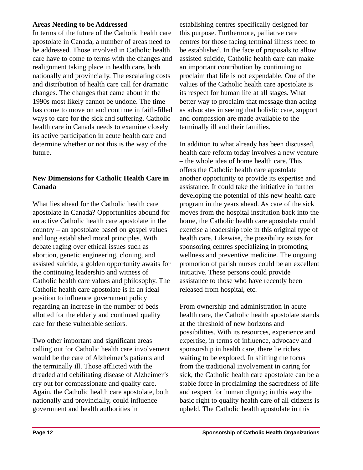#### **Areas Needing to be Addressed**

In terms of the future of the Catholic health care apostolate in Canada, a number of areas need to be addressed. Those involved in Catholic health care have to come to terms with the changes and realignment taking place in health care, both nationally and provincially. The escalating costs and distribution of health care call for dramatic changes. The changes that came about in the 1990s most likely cannot be undone. The time has come to move on and continue in faith-filled ways to care for the sick and suffering. Catholic health care in Canada needs to examine closely its active participation in acute health care and determine whether or not this is the way of the future.

#### **New Dimensions for Catholic Health Care in Canada**

What lies ahead for the Catholic health care apostolate in Canada? Opportunities abound for an active Catholic health care apostolate in the country – an apostolate based on gospel values and long established moral principles. With debate raging over ethical issues such as abortion, genetic engineering, cloning, and assisted suicide, a golden opportunity awaits for the continuing leadership and witness of Catholic health care values and philosophy. The Catholic health care apostolate is in an ideal position to influence government policy regarding an increase in the number of beds allotted for the elderly and continued quality care for these vulnerable seniors.

Two other important and significant areas calling out for Catholic health care involvement would be the care of Alzheimer's patients and the terminally ill. Those afflicted with the dreaded and debilitating disease of Alzheimer's cry out for compassionate and quality care. Again, the Catholic health care apostolate, both nationally and provincially, could influence government and health authorities in

establishing centres specifically designed for this purpose. Furthermore, palliative care centres for those facing terminal illness need to be established. In the face of proposals to allow assisted suicide, Catholic health care can make an important contribution by continuing to proclaim that life is not expendable. One of the values of the Catholic health care apostolate is its respect for human life at all stages. What better way to proclaim that message than acting as advocates in seeing that holistic care, support and compassion are made available to the terminally ill and their families.

In addition to what already has been discussed, health care reform today involves a new venture – the whole idea of home health care. This offers the Catholic health care apostolate another opportunity to provide its expertise and assistance. It could take the initiative in further developing the potential of this new health care program in the years ahead. As care of the sick moves from the hospital institution back into the home, the Catholic health care apostolate could exercise a leadership role in this original type of health care. Likewise, the possibility exists for sponsoring centres specializing in promoting wellness and preventive medicine. The ongoing promotion of parish nurses could be an excellent initiative. These persons could provide assistance to those who have recently been released from hospital, etc.

From ownership and administration in acute health care, the Catholic health apostolate stands at the threshold of new horizons and possibilities. With its resources, experience and expertise, in terms of influence, advocacy and sponsorship in health care, there lie riches waiting to be explored. In shifting the focus from the traditional involvement in caring for sick, the Catholic health care apostolate can be a stable force in proclaiming the sacredness of life and respect for human dignity; in this way the basic right to quality health care of all citizens is upheld. The Catholic health apostolate in this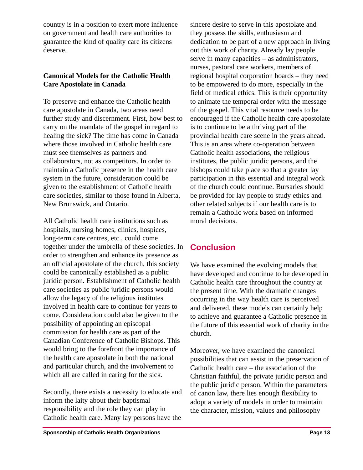country is in a position to exert more influence on government and health care authorities to guarantee the kind of quality care its citizens deserve.

#### **Canonical Models for the Catholic Health Care Apostolate in Canada**

To preserve and enhance the Catholic health care apostolate in Canada, two areas need further study and discernment. First, how best to carry on the mandate of the gospel in regard to healing the sick? The time has come in Canada where those involved in Catholic health care must see themselves as partners and collaborators, not as competitors. In order to maintain a Catholic presence in the health care system in the future, consideration could be given to the establishment of Catholic health care societies, similar to those found in Alberta, New Brunswick, and Ontario.

All Catholic health care institutions such as hospitals, nursing homes, clinics, hospices, long-term care centres, etc., could come together under the umbrella of these societies. In order to strengthen and enhance its presence as an official apostolate of the church, this society could be canonically established as a public juridic person. Establishment of Catholic health care societies as public juridic persons would allow the legacy of the religious institutes involved in health care to continue for years to come. Consideration could also be given to the possibility of appointing an episcopal commission for health care as part of the Canadian Conference of Catholic Bishops. This would bring to the forefront the importance of the health care apostolate in both the national and particular church, and the involvement to which all are called in caring for the sick.

Secondly, there exists a necessity to educate and inform the laity about their baptismal responsibility and the role they can play in Catholic health care. Many lay persons have the

sincere desire to serve in this apostolate and they possess the skills, enthusiasm and dedication to be part of a new approach in living out this work of charity. Already lay people serve in many capacities – as administrators, nurses, pastoral care workers, members of regional hospital corporation boards – they need to be empowered to do more, especially in the field of medical ethics. This is their opportunity to animate the temporal order with the message of the gospel. This vital resource needs to be encouraged if the Catholic health care apostolate is to continue to be a thriving part of the provincial health care scene in the years ahead. This is an area where co-operation between Catholic health associations, the religious institutes, the public juridic persons, and the bishops could take place so that a greater lay participation in this essential and integral work of the church could continue. Bursaries should be provided for lay people to study ethics and other related subjects if our health care is to remain a Catholic work based on informed moral decisions.

# **Conclusion**

We have examined the evolving models that have developed and continue to be developed in Catholic health care throughout the country at the present time. With the dramatic changes occurring in the way health care is perceived and delivered, these models can certainly help to achieve and guarantee a Catholic presence in the future of this essential work of charity in the church.

Moreover, we have examined the canonical possibilities that can assist in the preservation of Catholic health care – the association of the Christian faithful, the private juridic person and the public juridic person. Within the parameters of canon law, there lies enough flexibility to adopt a variety of models in order to maintain the character, mission, values and philosophy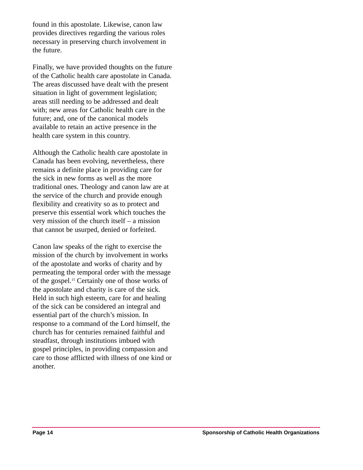found in this apostolate. Likewise, canon law provides directives regarding the various roles necessary in preserving church involvement in the future.

Finally, we have provided thoughts on the future of the Catholic health care apostolate in Canada. The areas discussed have dealt with the present situation in light of government legislation; areas still needing to be addressed and dealt with; new areas for Catholic health care in the future; and, one of the canonical models available to retain an active presence in the health care system in this country.

Although the Catholic health care apostolate in Canada has been evolving, nevertheless, there remains a definite place in providing care for the sick in new forms as well as the more traditional ones. Theology and canon law are at the service of the church and provide enough flexibility and creativity so as to protect and preserve this essential work which touches the very mission of the church itself – a mission that cannot be usurped, denied or forfeited.

Canon law speaks of the right to exercise the mission of the church by involvement in works of the apostolate and works of charity and by permeating the temporal order with the message of the gospel.15 Certainly one of those works of the apostolate and charity is care of the sick. Held in such high esteem, care for and healing of the sick can be considered an integral and essential part of the church's mission. In response to a command of the Lord himself, the church has for centuries remained faithful and steadfast, through institutions imbued with gospel principles, in providing compassion and care to those afflicted with illness of one kind or another.